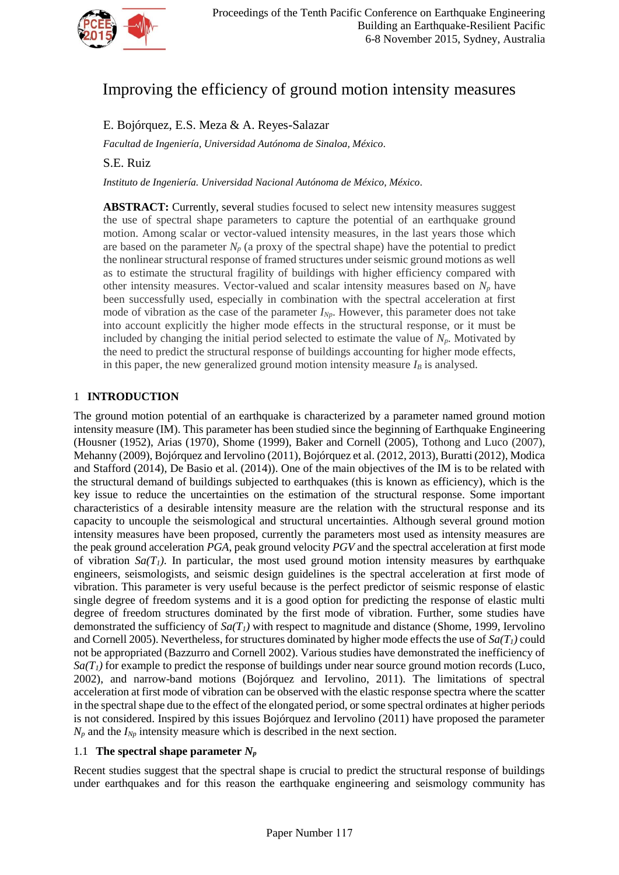

# Improving the efficiency of ground motion intensity measures

# E. Bojórquez, E.S. Meza & A. Reyes-Salazar

*Facultad de Ingeniería, Universidad Autónoma de Sinaloa, México.*

S.E. Ruiz

*Instituto de Ingeniería. Universidad Nacional Autónoma de México, México.*

**ABSTRACT:** Currently, several studies focused to select new intensity measures suggest the use of spectral shape parameters to capture the potential of an earthquake ground motion. Among scalar or vector-valued intensity measures, in the last years those which are based on the parameter  $N_p$  (a proxy of the spectral shape) have the potential to predict the nonlinear structural response of framed structures under seismic ground motions as well as to estimate the structural fragility of buildings with higher efficiency compared with other intensity measures. Vector-valued and scalar intensity measures based on *N<sup>p</sup>* have been successfully used, especially in combination with the spectral acceleration at first mode of vibration as the case of the parameter *INp*. However, this parameter does not take into account explicitly the higher mode effects in the structural response, or it must be included by changing the initial period selected to estimate the value of  $N_p$ . Motivated by the need to predict the structural response of buildings accounting for higher mode effects, in this paper, the new generalized ground motion intensity measure  $I_B$  is analysed.

## 1 **INTRODUCTION**

The ground motion potential of an earthquake is characterized by a parameter named ground motion intensity measure (IM). This parameter has been studied since the beginning of Earthquake Engineering (Housner (1952), Arias (1970), Shome (1999), Baker and Cornell (2005), Tothong and Luco (2007), Mehanny (2009), Bojórquez and Iervolino (2011), Bojórquez et al. (2012, 2013), Buratti (2012), Modica and Stafford (2014), De Basio et al. (2014)). One of the main objectives of the IM is to be related with the structural demand of buildings subjected to earthquakes (this is known as efficiency), which is the key issue to reduce the uncertainties on the estimation of the structural response. Some important characteristics of a desirable intensity measure are the relation with the structural response and its capacity to uncouple the seismological and structural uncertainties. Although several ground motion intensity measures have been proposed, currently the parameters most used as intensity measures are the peak ground acceleration *PGA*, peak ground velocity *PGV* and the spectral acceleration at first mode of vibration  $Sa(T)$ . In particular, the most used ground motion intensity measures by earthquake engineers, seismologists, and seismic design guidelines is the spectral acceleration at first mode of vibration. This parameter is very useful because is the perfect predictor of seismic response of elastic single degree of freedom systems and it is a good option for predicting the response of elastic multi degree of freedom structures dominated by the first mode of vibration. Further, some studies have demonstrated the sufficiency of  $Sa(T_1)$  with respect to magnitude and distance (Shome, 1999, Iervolino and Cornell 2005). Nevertheless, for structures dominated by higher mode effects the use of  $Sa(T<sub>I</sub>)$  could not be appropriated (Bazzurro and Cornell 2002). Various studies have demonstrated the inefficiency of  $S_a(T_i)$  for example to predict the response of buildings under near source ground motion records (Luco, 2002), and narrow-band motions (Bojórquez and Iervolino, 2011). The limitations of spectral acceleration at first mode of vibration can be observed with the elastic response spectra where the scatter in the spectral shape due to the effect of the elongated period, or some spectral ordinates at higher periods is not considered. Inspired by this issues Bojórquez and Iervolino (2011) have proposed the parameter  $N_p$  and the  $I_{N_p}$  intensity measure which is described in the next section.

## 1.1 The spectral shape parameter  $N_p$

Recent studies suggest that the spectral shape is crucial to predict the structural response of buildings under earthquakes and for this reason the earthquake engineering and seismology community has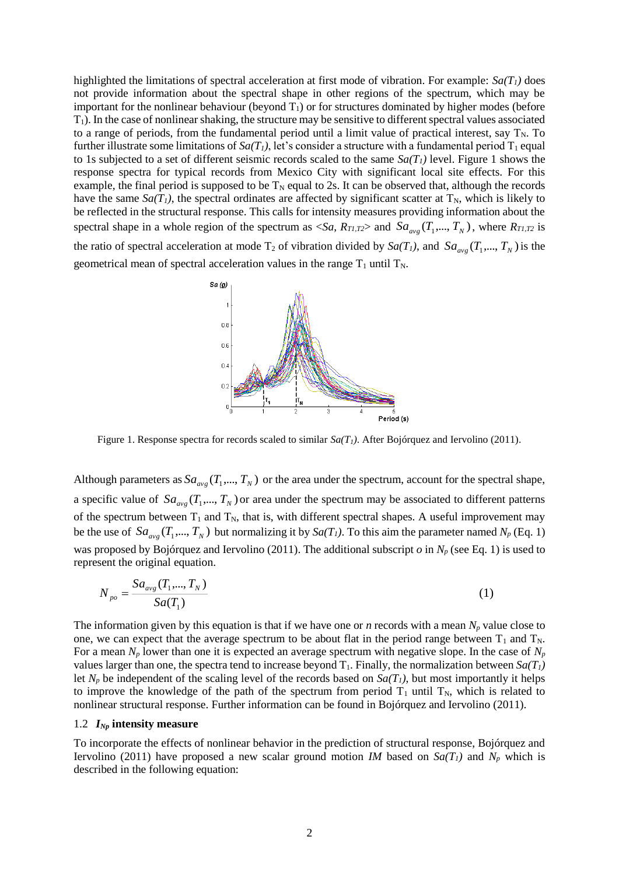highlighted the limitations of spectral acceleration at first mode of vibration. For example: *Sa(T1)* does not provide information about the spectral shape in other regions of the spectrum, which may be important for the nonlinear behaviour (beyond  $T_1$ ) or for structures dominated by higher modes (before T1). In the case of nonlinear shaking, the structure may be sensitive to different spectral values associated to a range of periods, from the fundamental period until a limit value of practical interest, say  $T_N$ . To further illustrate some limitations of  $Sa(T_1)$ , let's consider a structure with a fundamental period  $T_1$  equal to 1s subjected to a set of different seismic records scaled to the same  $Sa(T<sub>I</sub>)$  level. Figure 1 shows the response spectra for typical records from Mexico City with significant local site effects. For this example, the final period is supposed to be  $T_N$  equal to 2s. It can be observed that, although the records have the same  $Sa(T_1)$ , the spectral ordinates are affected by significant scatter at  $T_N$ , which is likely to be reflected in the structural response. This calls for intensity measures providing information about the spectral shape in a whole region of the spectrum as  $\langle Sa, R_{II,T2} \rangle$  and  $Sa_{avg}(T_1,..., T_N)$ , where  $R_{TI,T2}$  is the ratio of spectral acceleration at mode  $T_2$  of vibration divided by  $Sa(T_1)$ , and  $Sa_{avg}(T_1,..., T_N)$  is the geometrical mean of spectral acceleration values in the range  $T_1$  until  $T_N$ .



Figure 1. Response spectra for records scaled to similar *Sa(T1)*. After Bojórquez and Iervolino (2011).

Although parameters as  $Sa_{avg}(T_1,..., T_N)$  or the area under the spectrum, account for the spectral shape, a specific value of  $Sa_{avg}(T_1,...,T_N)$  or area under the spectrum may be associated to different patterns of the spectrum between  $T_1$  and  $T_N$ , that is, with different spectral shapes. A useful improvement may be the use of  $Sa_{avg}(T_1,...,T_N)$  but normalizing it by  $Sa(T_1)$ . To this aim the parameter named  $N_p$  (Eq. 1) was proposed by Bojórquez and Iervolino (2011). The additional subscript *o* in *N<sup>p</sup>* (see Eq. 1) is used to represent the original equation.

$$
N_{po} = \frac{Sa_{avg}(T_1, ..., T_N)}{Sa(T_1)}
$$
(1)

The information given by this equation is that if we have one or *n* records with a mean  $N_p$  value close to one, we can expect that the average spectrum to be about flat in the period range between  $T_1$  and  $T_N$ . For a mean *N<sup>p</sup>* lower than one it is expected an average spectrum with negative slope. In the case of *N<sup>p</sup>* values larger than one, the spectra tend to increase beyond  $T_1$ . Finally, the normalization between  $Sa(T_1)$ let  $N_p$  be independent of the scaling level of the records based on  $Sa(T_1)$ , but most importantly it helps to improve the knowledge of the path of the spectrum from period  $T_1$  until  $T_N$ , which is related to nonlinear structural response. Further information can be found in Bojórquez and Iervolino (2011).

#### 1.2 *INp* **intensity measure**

To incorporate the effects of nonlinear behavior in the prediction of structural response, Bojórquez and Iervolino (2011) have proposed a new scalar ground motion *IM* based on  $Sa(T_1)$  and  $N_p$  which is described in the following equation: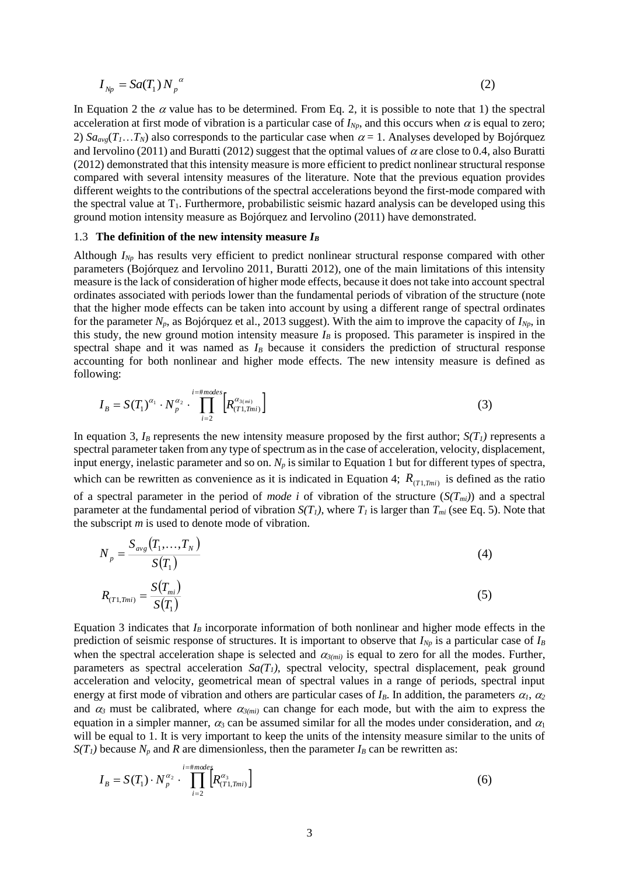$$
I_{Np} = Sa(T_1) N_p^{\alpha} \tag{2}
$$

In Equation 2 the  $\alpha$  value has to be determined. From Eq. 2, it is possible to note that 1) the spectral acceleration at first mode of vibration is a particular case of  $I_{Np}$ , and this occurs when  $\alpha$  is equal to zero; 2)  $Sa_{\alpha\beta}(T_1...T_N)$  also corresponds to the particular case when  $\alpha = 1$ . Analyses developed by Bojórquez and Iervolino (2011) and Buratti (2012) suggest that the optimal values of  $\alpha$  are close to 0.4, also Buratti (2012) demonstrated that this intensity measure is more efficient to predict nonlinear structural response compared with several intensity measures of the literature. Note that the previous equation provides different weights to the contributions of the spectral accelerations beyond the first-mode compared with the spectral value at  $T_1$ . Furthermore, probabilistic seismic hazard analysis can be developed using this ground motion intensity measure as Bojórquez and Iervolino (2011) have demonstrated.

#### 1.3 **The definition of the new intensity measure** *I<sup>B</sup>*

Although *INp* has results very efficient to predict nonlinear structural response compared with other parameters (Bojórquez and Iervolino 2011, Buratti 2012), one of the main limitations of this intensity measure is the lack of consideration of higher mode effects, because it does not take into account spectral ordinates associated with periods lower than the fundamental periods of vibration of the structure (note that the higher mode effects can be taken into account by using a different range of spectral ordinates for the parameter *Np*, as Bojórquez et al., 2013 suggest). With the aim to improve the capacity of *INp*, in this study, the new ground motion intensity measure  $I_B$  is proposed. This parameter is inspired in the spectral shape and it was named as  $I_B$  because it considers the prediction of structural response accounting for both nonlinear and higher mode effects. The new intensity measure is defined as following:

$$
I_B = S(T_1)^{\alpha_1} \cdot N_p^{\alpha_2} \cdot \prod_{i=2}^{i=\text{\#modes}} \left[ R_{(T1, Tmi)}^{\alpha_{3(mi)}} \right]
$$
 (3)

In equation 3,  $I_B$  represents the new intensity measure proposed by the first author;  $S(T_I)$  represents a spectral parameter taken from any type of spectrum as in the case of acceleration, velocity, displacement, input energy, inelastic parameter and so on. *N<sup>p</sup>* is similar to Equation 1 but for different types of spectra, which can be rewritten as convenience as it is indicated in Equation 4;  $R_{(T1,Tmi)}$  is defined as the ratio of a spectral parameter in the period of *mode i* of vibration of the structure  $(S(T_{mi}))$  and a spectral parameter at the fundamental period of vibration  $S(T_I)$ , where  $T_I$  is larger than  $T_{mi}$  (see Eq. 5). Note that the subscript *m* is used to denote mode of vibration.

$$
N_{p} = \frac{S_{avg}(T_{1},...,T_{N})}{S(T_{1})}
$$
\n(4)

$$
R_{(T1,Tmi)} = \frac{S(T_{mi})}{S(T_1)}
$$
\n(5)

Equation 3 indicates that  $I_B$  incorporate information of both nonlinear and higher mode effects in the prediction of seismic response of structures. It is important to observe that *INp* is a particular case of *I<sup>B</sup>* when the spectral acceleration shape is selected and  $\alpha_{3(mi)}$  is equal to zero for all the modes. Further, parameters as spectral acceleration *Sa(T1)*, spectral velocity, spectral displacement, peak ground acceleration and velocity, geometrical mean of spectral values in a range of periods, spectral input energy at first mode of vibration and others are particular cases of  $I_B$ . In addition, the parameters  $\alpha_1$ ,  $\alpha_2$ and  $\alpha_3$  must be calibrated, where  $\alpha_{3(mi)}$  can change for each mode, but with the aim to express the equation in a simpler manner,  $\alpha_3$  can be assumed similar for all the modes under consideration, and  $\alpha_1$ will be equal to 1. It is very important to keep the units of the intensity measure similar to the units of  $S(T_I)$  because  $N_p$  and  $R$  are dimensionless, then the parameter  $I_B$  can be rewritten as:

$$
I_B = S(T_1) \cdot N_p^{\alpha_2} \cdot \prod_{i=2}^{i=\text{imodes}} \left[ R_{(T_1, T_{mi})}^{\alpha_3} \right] \tag{6}
$$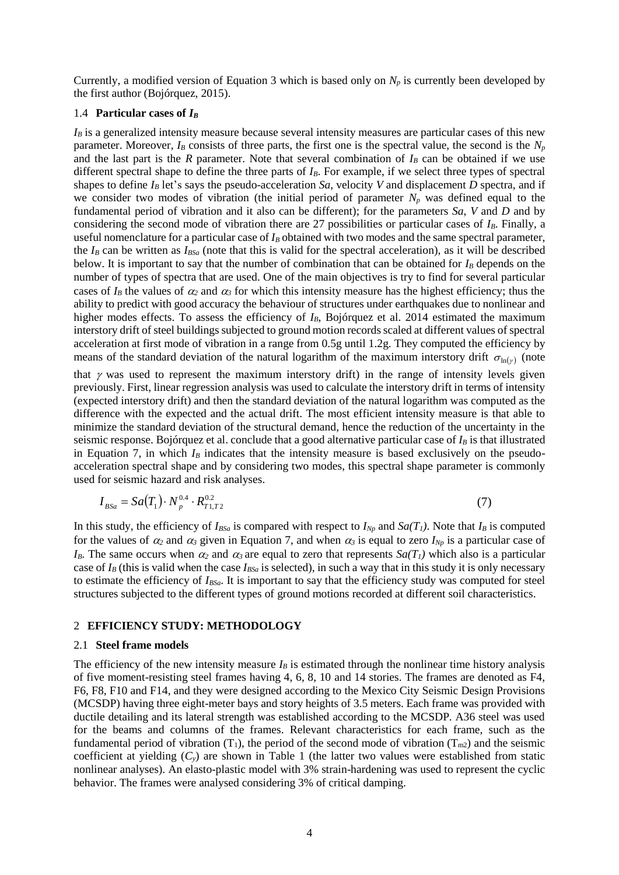Currently, a modified version of Equation 3 which is based only on  $N_p$  is currently been developed by the first author (Bojórquez, 2015).

## 1.4 **Particular cases of** *I<sup>B</sup>*

 $I_B$  is a generalized intensity measure because several intensity measures are particular cases of this new parameter. Moreover,  $I_B$  consists of three parts, the first one is the spectral value, the second is the  $N_p$ and the last part is the  $R$  parameter. Note that several combination of  $I_B$  can be obtained if we use different spectral shape to define the three parts of *IB*. For example, if we select three types of spectral shapes to define  $I_B$  let's says the pseudo-acceleration *Sa*, velocity *V* and displacement *D* spectra, and if we consider two modes of vibration (the initial period of parameter  $N_p$  was defined equal to the fundamental period of vibration and it also can be different); for the parameters *Sa*, *V* and *D* and by considering the second mode of vibration there are 27 possibilities or particular cases of *IB*. Finally, a useful nomenclature for a particular case of *I<sup>B</sup>* obtained with two modes and the same spectral parameter, the *I<sup>B</sup>* can be written as *IBSa* (note that this is valid for the spectral acceleration), as it will be described below. It is important to say that the number of combination that can be obtained for *I<sup>B</sup>* depends on the number of types of spectra that are used. One of the main objectives is try to find for several particular cases of  $I_B$  the values of  $\alpha_2$  and  $\alpha_3$  for which this intensity measure has the highest efficiency; thus the ability to predict with good accuracy the behaviour of structures under earthquakes due to nonlinear and higher modes effects. To assess the efficiency of  $I_B$ , Bojórquez et al. 2014 estimated the maximum interstory drift of steel buildings subjected to ground motion records scaled at different values of spectral acceleration at first mode of vibration in a range from 0.5g until 1.2g. They computed the efficiency by means of the standard deviation of the natural logarithm of the maximum interstory drift  $\sigma_{\ln(r)}$  (note

that  $\gamma$  was used to represent the maximum interstory drift) in the range of intensity levels given previously. First, linear regression analysis was used to calculate the interstory drift in terms of intensity (expected interstory drift) and then the standard deviation of the natural logarithm was computed as the difference with the expected and the actual drift. The most efficient intensity measure is that able to minimize the standard deviation of the structural demand, hence the reduction of the uncertainty in the seismic response. Bojórquez et al. conclude that a good alternative particular case of  $I_B$  is that illustrated in Equation 7, in which  $I_B$  indicates that the intensity measure is based exclusively on the pseudoacceleration spectral shape and by considering two modes, this spectral shape parameter is commonly used for seismic hazard and risk analyses.

$$
I_{BSa} = Sa(T_1) \cdot N_p^{0.4} \cdot R_{T_1, T_2}^{0.2} \tag{7}
$$

In this study, the efficiency of  $I_{BSa}$  is compared with respect to  $I_{Np}$  and  $Sa(T_I)$ . Note that  $I_B$  is computed for the values of  $\alpha_2$  and  $\alpha_3$  given in Equation 7, and when  $\alpha_3$  is equal to zero  $I_{N_p}$  is a particular case of *I*<sub>B</sub>. The same occurs when  $\alpha_2$  and  $\alpha_3$  are equal to zero that represents  $Sa(T_1)$  which also is a particular case of  $I_B$  (this is valid when the case  $I_{BSa}$  is selected), in such a way that in this study it is only necessary to estimate the efficiency of *IBSa*. It is important to say that the efficiency study was computed for steel structures subjected to the different types of ground motions recorded at different soil characteristics.

## 2 **EFFICIENCY STUDY: METHODOLOGY**

### 2.1 **Steel frame models**

The efficiency of the new intensity measure  $I_B$  is estimated through the nonlinear time history analysis of five moment-resisting steel frames having 4, 6, 8, 10 and 14 stories. The frames are denoted as F4, F6, F8, F10 and F14, and they were designed according to the Mexico City Seismic Design Provisions (MCSDP) having three eight-meter bays and story heights of 3.5 meters. Each frame was provided with ductile detailing and its lateral strength was established according to the MCSDP. A36 steel was used for the beams and columns of the frames. Relevant characteristics for each frame, such as the fundamental period of vibration (T<sub>1</sub>), the period of the second mode of vibration ( $T_{m2}$ ) and the seismic coefficient at yielding (*Cy*) are shown in Table 1 (the latter two values were established from static nonlinear analyses). An elasto-plastic model with 3% strain-hardening was used to represent the cyclic behavior. The frames were analysed considering 3% of critical damping.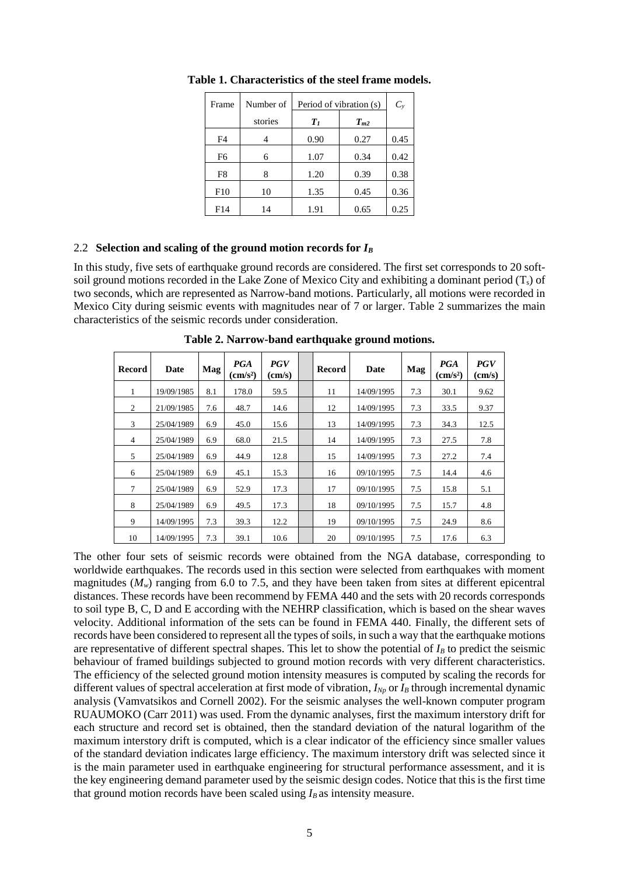| Frame | Number of | Period of vibration (s) | $C_{y}$  |      |
|-------|-----------|-------------------------|----------|------|
|       | stories   | $T_I$                   | $T_{m2}$ |      |
| F4    |           | 0.90                    | 0.27     | 0.45 |
| F6    | 6         | 1.07                    | 0.34     | 0.42 |
| F8    | 8         | 1.20                    | 0.39     | 0.38 |
| F10   | 10        | 1.35                    | 0.45     | 0.36 |
| F14   | 14        | 1.91                    | 0.65     | 0.25 |

**Table 1. Characteristics of the steel frame models.**

## 2.2 **Selection and scaling of the ground motion records for** *I<sup>B</sup>*

In this study, five sets of earthquake ground records are considered. The first set corresponds to 20 softsoil ground motions recorded in the Lake Zone of Mexico City and exhibiting a dominant period  $(T<sub>s</sub>)$  of two seconds, which are represented as Narrow-band motions. Particularly, all motions were recorded in Mexico City during seismic events with magnitudes near of 7 or larger. Table 2 summarizes the main characteristics of the seismic records under consideration.

| Record         | Date       | Mag | <b>PGA</b><br>$\rm \left( cm/s^2 \right)$ | <b>PGV</b><br>$\text{(cm/s)}$ | <b>Record</b> | Date       | Mag | <b>PGA</b><br>$\text{(cm/s}^2)$ | <b>PGV</b><br>$\text{(cm/s)}$ |
|----------------|------------|-----|-------------------------------------------|-------------------------------|---------------|------------|-----|---------------------------------|-------------------------------|
| 1              | 19/09/1985 | 8.1 | 178.0                                     | 59.5                          | 11            | 14/09/1995 | 7.3 | 30.1                            | 9.62                          |
| 2              | 21/09/1985 | 7.6 | 48.7                                      | 14.6                          | 12            | 14/09/1995 | 7.3 | 33.5                            | 9.37                          |
| 3              | 25/04/1989 | 6.9 | 45.0                                      | 15.6                          | 13            | 14/09/1995 | 7.3 | 34.3                            | 12.5                          |
| $\overline{4}$ | 25/04/1989 | 6.9 | 68.0                                      | 21.5                          | 14            | 14/09/1995 | 7.3 | 27.5                            | 7.8                           |
| 5              | 25/04/1989 | 6.9 | 44.9                                      | 12.8                          | 15            | 14/09/1995 | 7.3 | 27.2                            | 7.4                           |
| 6              | 25/04/1989 | 6.9 | 45.1                                      | 15.3                          | 16            | 09/10/1995 | 7.5 | 14.4                            | 4.6                           |
| 7              | 25/04/1989 | 6.9 | 52.9                                      | 17.3                          | 17            | 09/10/1995 | 7.5 | 15.8                            | 5.1                           |
| 8              | 25/04/1989 | 6.9 | 49.5                                      | 17.3                          | 18            | 09/10/1995 | 7.5 | 15.7                            | 4.8                           |
| 9              | 14/09/1995 | 7.3 | 39.3                                      | 12.2                          | 19            | 09/10/1995 | 7.5 | 24.9                            | 8.6                           |
| 10             | 14/09/1995 | 7.3 | 39.1                                      | 10.6                          | 20            | 09/10/1995 | 7.5 | 17.6                            | 6.3                           |

**Table 2. Narrow-band earthquake ground motions.**

The other four sets of seismic records were obtained from the NGA database, corresponding to worldwide earthquakes. The records used in this section were selected from earthquakes with moment magnitudes  $(M_w)$  ranging from 6.0 to 7.5, and they have been taken from sites at different epicentral distances. These records have been recommend by FEMA 440 and the sets with 20 records corresponds to soil type B, C, D and E according with the NEHRP classification, which is based on the shear waves velocity. Additional information of the sets can be found in FEMA 440. Finally, the different sets of records have been considered to represent all the types of soils, in such a way that the earthquake motions are representative of different spectral shapes. This let to show the potential of  $I_B$  to predict the seismic behaviour of framed buildings subjected to ground motion records with very different characteristics. The efficiency of the selected ground motion intensity measures is computed by scaling the records for different values of spectral acceleration at first mode of vibration, *INp* or *I<sup>B</sup>* through incremental dynamic analysis (Vamvatsikos and Cornell 2002). For the seismic analyses the well-known computer program RUAUMOKO (Carr 2011) was used. From the dynamic analyses, first the maximum interstory drift for each structure and record set is obtained, then the standard deviation of the natural logarithm of the maximum interstory drift is computed, which is a clear indicator of the efficiency since smaller values of the standard deviation indicates large efficiency. The maximum interstory drift was selected since it is the main parameter used in earthquake engineering for structural performance assessment, and it is the key engineering demand parameter used by the seismic design codes. Notice that this is the first time that ground motion records have been scaled using  $I_B$  as intensity measure.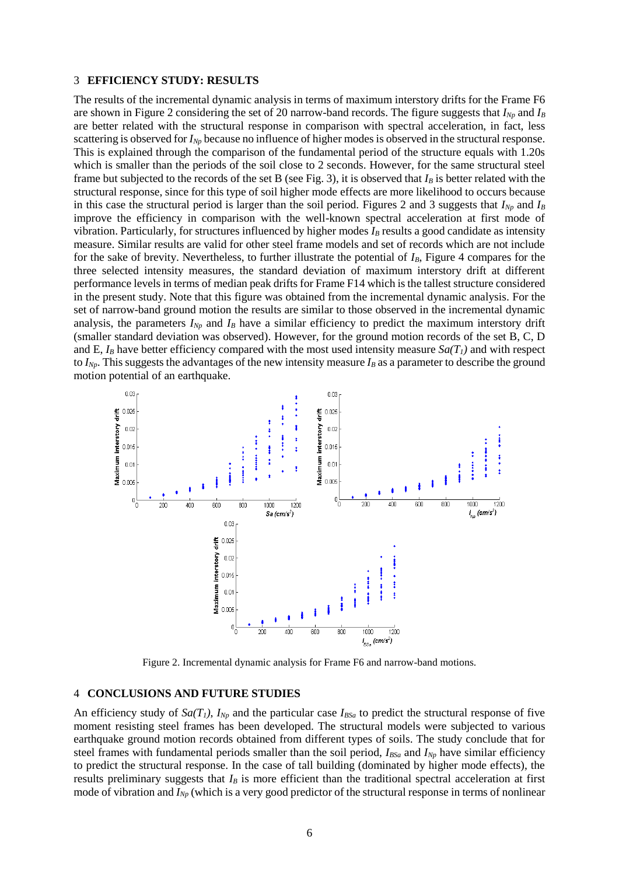## 3 **EFFICIENCY STUDY: RESULTS**

The results of the incremental dynamic analysis in terms of maximum interstory drifts for the Frame F6 are shown in Figure 2 considering the set of 20 narrow-band records. The figure suggests that  $I_{Np}$  and  $I_B$ are better related with the structural response in comparison with spectral acceleration, in fact, less scattering is observed for *I<sub>Np</sub>* because no influence of higher modes is observed in the structural response. This is explained through the comparison of the fundamental period of the structure equals with 1.20s which is smaller than the periods of the soil close to 2 seconds. However, for the same structural steel frame but subjected to the records of the set B (see Fig. 3), it is observed that *I<sup>B</sup>* is better related with the structural response, since for this type of soil higher mode effects are more likelihood to occurs because in this case the structural period is larger than the soil period. Figures 2 and 3 suggests that  $I_{Np}$  and  $I_B$ improve the efficiency in comparison with the well-known spectral acceleration at first mode of vibration. Particularly, for structures influenced by higher modes *I<sup>B</sup>* results a good candidate as intensity measure. Similar results are valid for other steel frame models and set of records which are not include for the sake of brevity. Nevertheless, to further illustrate the potential of *IB*, Figure 4 compares for the three selected intensity measures, the standard deviation of maximum interstory drift at different performance levels in terms of median peak drifts for Frame F14 which is the tallest structure considered in the present study. Note that this figure was obtained from the incremental dynamic analysis. For the set of narrow-band ground motion the results are similar to those observed in the incremental dynamic analysis, the parameters  $I_{Np}$  and  $I_B$  have a similar efficiency to predict the maximum interstory drift (smaller standard deviation was observed). However, for the ground motion records of the set B, C, D and E,  $I_B$  have better efficiency compared with the most used intensity measure  $Sa(T_I)$  and with respect to  $I_{Np}$ . This suggests the advantages of the new intensity measure  $I_{B}$  as a parameter to describe the ground motion potential of an earthquake.



Figure 2. Incremental dynamic analysis for Frame F6 and narrow-band motions.

#### 4 **CONCLUSIONS AND FUTURE STUDIES**

An efficiency study of  $S_a(T_i)$ ,  $I_{N_p}$  and the particular case  $I_{BSa}$  to predict the structural response of five moment resisting steel frames has been developed. The structural models were subjected to various earthquake ground motion records obtained from different types of soils. The study conclude that for steel frames with fundamental periods smaller than the soil period, *IBSa* and *INp* have similar efficiency to predict the structural response. In the case of tall building (dominated by higher mode effects), the results preliminary suggests that *I<sub>B</sub>* is more efficient than the traditional spectral acceleration at first mode of vibration and *INp* (which is a very good predictor of the structural response in terms of nonlinear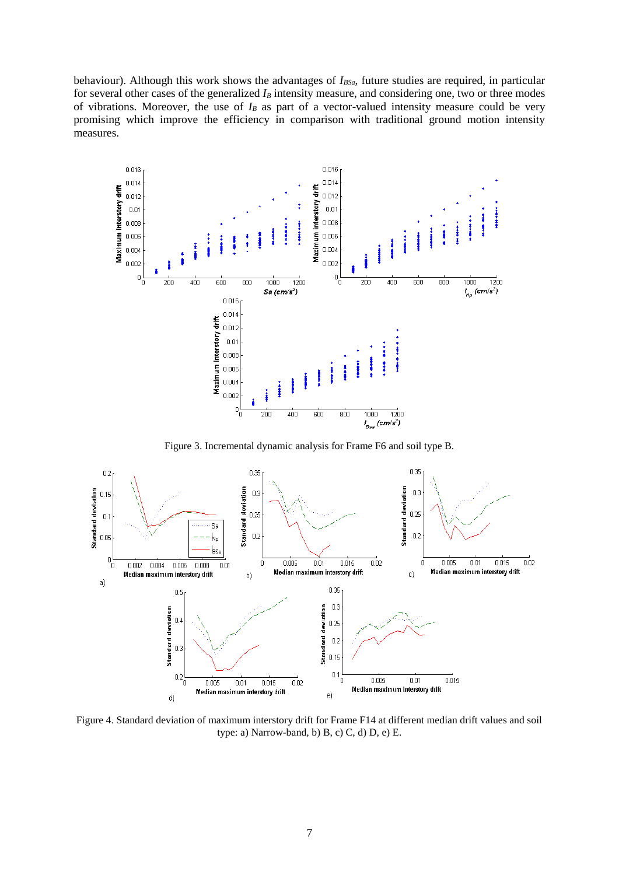behaviour). Although this work shows the advantages of *IBSa*, future studies are required, in particular for several other cases of the generalized  $I_B$  intensity measure, and considering one, two or three modes of vibrations. Moreover, the use of  $I_B$  as part of a vector-valued intensity measure could be very promising which improve the efficiency in comparison with traditional ground motion intensity measures.



Figure 3. Incremental dynamic analysis for Frame F6 and soil type B.



Figure 4. Standard deviation of maximum interstory drift for Frame F14 at different median drift values and soil type: a) Narrow-band, b) B, c) C, d) D, e) E.